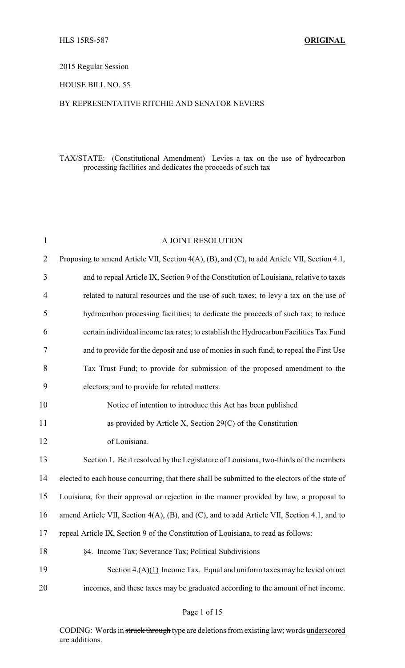# 2015 Regular Session

### HOUSE BILL NO. 55

#### BY REPRESENTATIVE RITCHIE AND SENATOR NEVERS

# TAX/STATE: (Constitutional Amendment) Levies a tax on the use of hydrocarbon processing facilities and dedicates the proceeds of such tax

| $\mathbf{1}$   | A JOINT RESOLUTION                                                                              |
|----------------|-------------------------------------------------------------------------------------------------|
| $\overline{2}$ | Proposing to amend Article VII, Section 4(A), (B), and (C), to add Article VII, Section 4.1,    |
| 3              | and to repeal Article IX, Section 9 of the Constitution of Louisiana, relative to taxes         |
| $\overline{4}$ | related to natural resources and the use of such taxes; to levy a tax on the use of             |
| 5              | hydrocarbon processing facilities; to dedicate the proceeds of such tax; to reduce              |
| 6              | certain individual income tax rates; to establish the Hydrocarbon Facilities Tax Fund           |
| 7              | and to provide for the deposit and use of monies in such fund; to repeal the First Use          |
| 8              | Tax Trust Fund; to provide for submission of the proposed amendment to the                      |
| 9              | electors; and to provide for related matters.                                                   |
| 10             | Notice of intention to introduce this Act has been published                                    |
| 11             | as provided by Article X, Section $29(C)$ of the Constitution                                   |
| 12             | of Louisiana.                                                                                   |
| 13             | Section 1. Be it resolved by the Legislature of Louisiana, two-thirds of the members            |
| 14             | elected to each house concurring, that there shall be submitted to the electors of the state of |
| 15             | Louisiana, for their approval or rejection in the manner provided by law, a proposal to         |
| 16             | amend Article VII, Section 4(A), (B), and (C), and to add Article VII, Section 4.1, and to      |
| 17             | repeal Article IX, Section 9 of the Constitution of Louisiana, to read as follows:              |
| 18             | §4. Income Tax; Severance Tax; Political Subdivisions                                           |
| 19             | Section $4.(\mathbf{A})(1)$ Income Tax. Equal and uniform taxes may be levied on net            |
| 20             | incomes, and these taxes may be graduated according to the amount of net income.                |

### Page 1 of 15

CODING: Words in struck through type are deletions from existing law; words underscored are additions.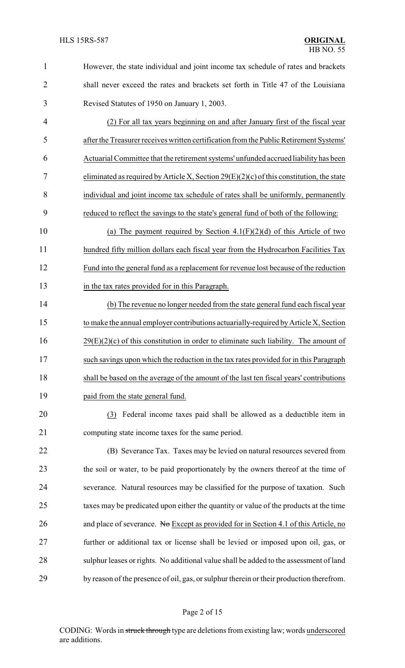| $\mathbf{1}$   | However, the state individual and joint income tax schedule of rates and brackets          |
|----------------|--------------------------------------------------------------------------------------------|
| $\overline{2}$ | shall never exceed the rates and brackets set forth in Title 47 of the Louisiana           |
| 3              | Revised Statutes of 1950 on January 1, 2003.                                               |
| $\overline{4}$ | (2) For all tax years beginning on and after January first of the fiscal year              |
| 5              | after the Treasurer receives written certification from the Public Retirement Systems'     |
| 6              | Actuarial Committee that the retirement systems' unfunded accrued liability has been       |
| 7              | eliminated as required by Article X, Section $29(E)(2)(c)$ of this constitution, the state |
| 8              | individual and joint income tax schedule of rates shall be uniformly, permanently          |
| 9              | reduced to reflect the savings to the state's general fund of both of the following:       |
| 10             | (a) The payment required by Section $4.1(F)(2)(d)$ of this Article of two                  |
| 11             | hundred fifty million dollars each fiscal year from the Hydrocarbon Facilities Tax         |
| 12             | Fund into the general fund as a replacement for revenue lost because of the reduction      |
| 13             | in the tax rates provided for in this Paragraph.                                           |
| 14             | (b) The revenue no longer needed from the state general fund each fiscal year              |
| 15             | to make the annual employer contributions actuarially-required by Article X, Section       |
| 16             | $29(E)(2)(c)$ of this constitution in order to eliminate such liability. The amount of     |
| 17             | such savings upon which the reduction in the tax rates provided for in this Paragraph      |
| 18             | shall be based on the average of the amount of the last ten fiscal years' contributions    |
| 19             | paid from the state general fund.                                                          |
| 20             | (3) Federal income taxes paid shall be allowed as a deductible item in                     |
| 21             | computing state income taxes for the same period.                                          |
| 22             | (B) Severance Tax. Taxes may be levied on natural resources severed from                   |
| 23             | the soil or water, to be paid proportionately by the owners thereof at the time of         |
| 24             | severance. Natural resources may be classified for the purpose of taxation. Such           |
| 25             | taxes may be predicated upon either the quantity or value of the products at the time      |
| 26             | and place of severance. No Except as provided for in Section 4.1 of this Article, no       |
| 27             | further or additional tax or license shall be levied or imposed upon oil, gas, or          |
| 28             | sulphur leases or rights. No additional value shall be added to the assessment of land     |
| 29             | by reason of the presence of oil, gas, or sulphur therein or their production therefrom.   |
|                |                                                                                            |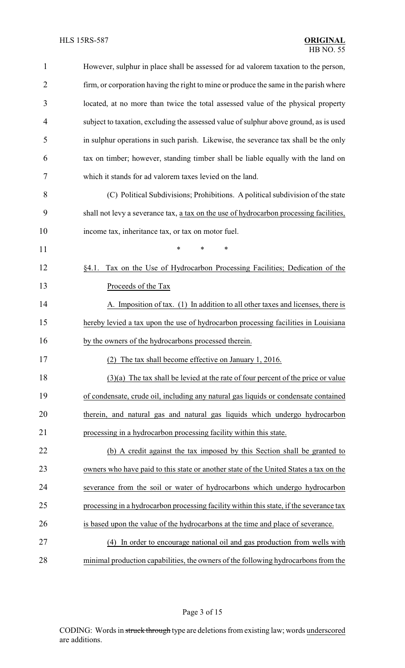| $\mathbf 1$    | However, sulphur in place shall be assessed for ad valorem taxation to the person,      |
|----------------|-----------------------------------------------------------------------------------------|
| $\overline{2}$ | firm, or corporation having the right to mine or produce the same in the parish where   |
| 3              | located, at no more than twice the total assessed value of the physical property        |
| 4              | subject to taxation, excluding the assessed value of sulphur above ground, as is used   |
| 5              | in sulphur operations in such parish. Likewise, the severance tax shall be the only     |
| 6              | tax on timber; however, standing timber shall be liable equally with the land on        |
| 7              | which it stands for ad valorem taxes levied on the land.                                |
| 8              | (C) Political Subdivisions; Prohibitions. A political subdivision of the state          |
| 9              | shall not levy a severance tax, a tax on the use of hydrocarbon processing facilities,  |
| 10             | income tax, inheritance tax, or tax on motor fuel.                                      |
| 11             | *<br>*<br>*                                                                             |
| 12             | Tax on the Use of Hydrocarbon Processing Facilities; Dedication of the<br>§4.1.         |
| 13             | Proceeds of the Tax                                                                     |
| 14             | A. Imposition of tax. (1) In addition to all other taxes and licenses, there is         |
| 15             | hereby levied a tax upon the use of hydrocarbon processing facilities in Louisiana      |
| 16             | by the owners of the hydrocarbons processed therein.                                    |
| 17             | (2) The tax shall become effective on January 1, 2016.                                  |
| 18             | $(3)(a)$ The tax shall be levied at the rate of four percent of the price or value      |
| 19             | of condensate, crude oil, including any natural gas liquids or condensate contained     |
| 20             | therein, and natural gas and natural gas liquids which undergo hydrocarbon              |
| 21             | processing in a hydrocarbon processing facility within this state.                      |
| 22             | (b) A credit against the tax imposed by this Section shall be granted to                |
| 23             | owners who have paid to this state or another state of the United States a tax on the   |
| 24             | severance from the soil or water of hydrocarbons which undergo hydrocarbon              |
| 25             | processing in a hydrocarbon processing facility within this state, if the severance tax |
| 26             | is based upon the value of the hydrocarbons at the time and place of severance.         |
| 27             | In order to encourage national oil and gas production from wells with<br>(4)            |
| 28             | minimal production capabilities, the owners of the following hydrocarbons from the      |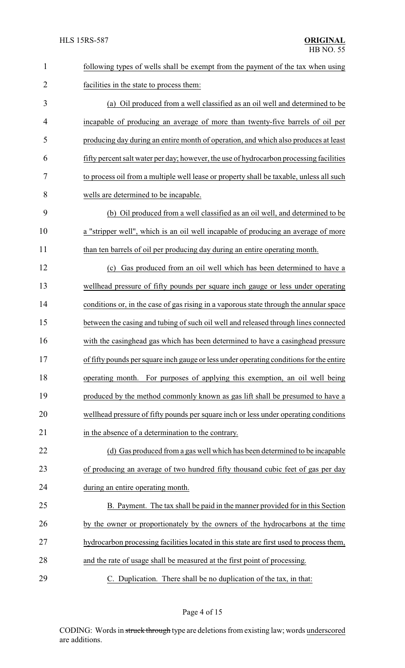| 1              | following types of wells shall be exempt from the payment of the tax when using         |  |
|----------------|-----------------------------------------------------------------------------------------|--|
| $\overline{2}$ | facilities in the state to process them:                                                |  |
| 3              | (a) Oil produced from a well classified as an oil well and determined to be             |  |
| 4              | incapable of producing an average of more than twenty-five barrels of oil per           |  |
| 5              | producing day during an entire month of operation, and which also produces at least     |  |
| 6              | fifty percent salt water per day; however, the use of hydrocarbon processing facilities |  |
| 7              | to process oil from a multiple well lease or property shall be taxable, unless all such |  |
| 8              | wells are determined to be incapable.                                                   |  |
| 9              | (b) Oil produced from a well classified as an oil well, and determined to be            |  |
| 10             | a "stripper well", which is an oil well incapable of producing an average of more       |  |
| 11             | than ten barrels of oil per producing day during an entire operating month.             |  |
| 12             | Gas produced from an oil well which has been determined to have a<br>(c)                |  |
| 13             | wellhead pressure of fifty pounds per square inch gauge or less under operating         |  |
| 14             | conditions or, in the case of gas rising in a vaporous state through the annular space  |  |
| 15             | between the casing and tubing of such oil well and released through lines connected     |  |
| 16             | with the casinghead gas which has been determined to have a casinghead pressure         |  |
| 17             | of fifty pounds per square inch gauge or less under operating conditions for the entire |  |
| 18             | For purposes of applying this exemption, an oil well being<br>operating month.          |  |
| 19             | produced by the method commonly known as gas lift shall be presumed to have a           |  |
| 20             | well head pressure of fifty pounds per square inch or less under operating conditions   |  |
| 21             | in the absence of a determination to the contrary.                                      |  |
| 22             | (d) Gas produced from a gas well which has been determined to be incapable              |  |
| 23             | of producing an average of two hundred fifty thousand cubic feet of gas per day         |  |
| 24             | during an entire operating month.                                                       |  |
| 25             | B. Payment. The tax shall be paid in the manner provided for in this Section            |  |
| 26             | by the owner or proportionately by the owners of the hydrocarbons at the time           |  |
| 27             | hydrocarbon processing facilities located in this state are first used to process them, |  |
| 28             | and the rate of usage shall be measured at the first point of processing.               |  |
| 29             | C. Duplication. There shall be no duplication of the tax, in that:                      |  |

Page 4 of 15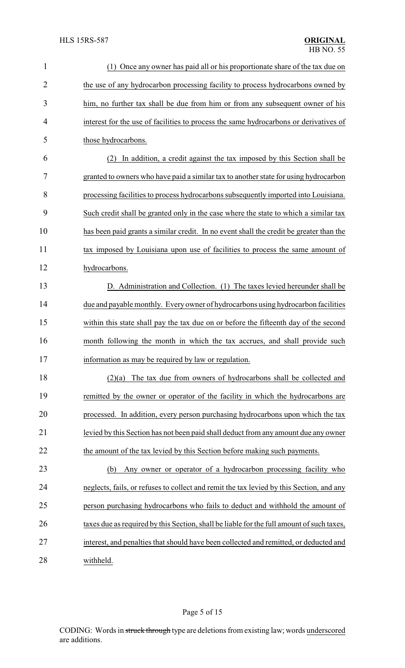| $\mathbf{1}$   | (1) Once any owner has paid all or his proportionate share of the tax due on              |
|----------------|-------------------------------------------------------------------------------------------|
| $\overline{2}$ | the use of any hydrocarbon processing facility to process hydrocarbons owned by           |
| 3              | him, no further tax shall be due from him or from any subsequent owner of his             |
| 4              | interest for the use of facilities to process the same hydrocarbons or derivatives of     |
| 5              | those hydrocarbons.                                                                       |
| 6              | (2) In addition, a credit against the tax imposed by this Section shall be                |
| 7              | granted to owners who have paid a similar tax to another state for using hydrocarbon      |
| 8              | processing facilities to process hydrocarbons subsequently imported into Louisiana.       |
| 9              | Such credit shall be granted only in the case where the state to which a similar tax      |
| 10             | has been paid grants a similar credit. In no event shall the credit be greater than the   |
| 11             | tax imposed by Louisiana upon use of facilities to process the same amount of             |
| 12             | hydrocarbons.                                                                             |
| 13             | D. Administration and Collection. (1) The taxes levied hereunder shall be                 |
| 14             | due and payable monthly. Every owner of hydrocarbons using hydrocarbon facilities         |
| 15             | within this state shall pay the tax due on or before the fifteenth day of the second      |
| 16             | month following the month in which the tax accrues, and shall provide such                |
| 17             | information as may be required by law or regulation.                                      |
| 18             | The tax due from owners of hydrocarbons shall be collected and<br>(2)(a)                  |
| 19             | remitted by the owner or operator of the facility in which the hydrocarbons are           |
| 20             | processed. In addition, every person purchasing hydrocarbons upon which the tax           |
| 21             | levied by this Section has not been paid shall deduct from any amount due any owner       |
| 22             | the amount of the tax levied by this Section before making such payments.                 |
| 23             | Any owner or operator of a hydrocarbon processing facility who<br>(b)                     |
| 24             | neglects, fails, or refuses to collect and remit the tax levied by this Section, and any  |
| 25             | person purchasing hydrocarbons who fails to deduct and withhold the amount of             |
| 26             | taxes due as required by this Section, shall be liable for the full amount of such taxes, |
| 27             | interest, and penalties that should have been collected and remitted, or deducted and     |
| 28             | withheld.                                                                                 |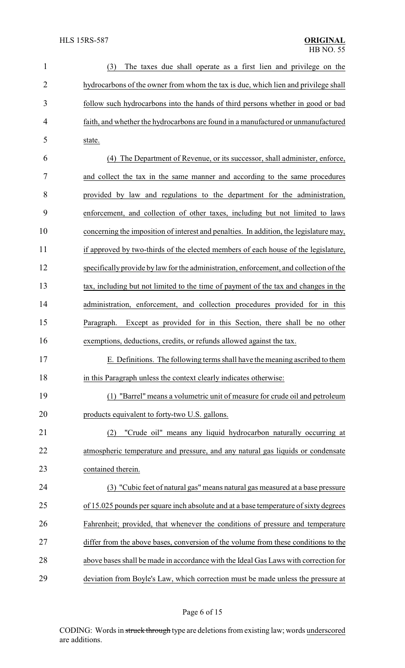| $\mathbf{1}$   | (3)<br>The taxes due shall operate as a first lien and privilege on the                |
|----------------|----------------------------------------------------------------------------------------|
| $\overline{2}$ | hydrocarbons of the owner from whom the tax is due, which lien and privilege shall     |
| 3              | follow such hydrocarbons into the hands of third persons whether in good or bad        |
| 4              | faith, and whether the hydrocarbons are found in a manufactured or unmanufactured      |
| 5              | state.                                                                                 |
| 6              | The Department of Revenue, or its successor, shall administer, enforce,<br>(4)         |
| 7              | and collect the tax in the same manner and according to the same procedures            |
| 8              | provided by law and regulations to the department for the administration,              |
| 9              | enforcement, and collection of other taxes, including but not limited to laws          |
| 10             | concerning the imposition of interest and penalties. In addition, the legislature may, |
| 11             | if approved by two-thirds of the elected members of each house of the legislature,     |
| 12             | specifically provide by law for the administration, enforcement, and collection of the |
| 13             | tax, including but not limited to the time of payment of the tax and changes in the    |
| 14             | administration, enforcement, and collection procedures provided for in this            |
| 15             | Except as provided for in this Section, there shall be no other<br>Paragraph.          |
| 16             | exemptions, deductions, credits, or refunds allowed against the tax.                   |
| 17             | E. Definitions. The following terms shall have the meaning ascribed to them            |
| 18             | in this Paragraph unless the context clearly indicates otherwise:                      |
| 19             | (1) "Barrel" means a volumetric unit of measure for crude oil and petroleum            |
| 20             | products equivalent to forty-two U.S. gallons.                                         |
| 21             | "Crude oil" means any liquid hydrocarbon naturally occurring at<br>(2)                 |
| 22             | atmospheric temperature and pressure, and any natural gas liquids or condensate        |
| 23             | contained therein.                                                                     |
| 24             | (3) "Cubic feet of natural gas" means natural gas measured at a base pressure          |
| 25             | of 15.025 pounds per square inch absolute and at a base temperature of sixty degrees   |
| 26             | Fahrenheit; provided, that whenever the conditions of pressure and temperature         |
| 27             | differ from the above bases, conversion of the volume from these conditions to the     |
| 28             | above bases shall be made in accordance with the Ideal Gas Laws with correction for    |
| 29             | deviation from Boyle's Law, which correction must be made unless the pressure at       |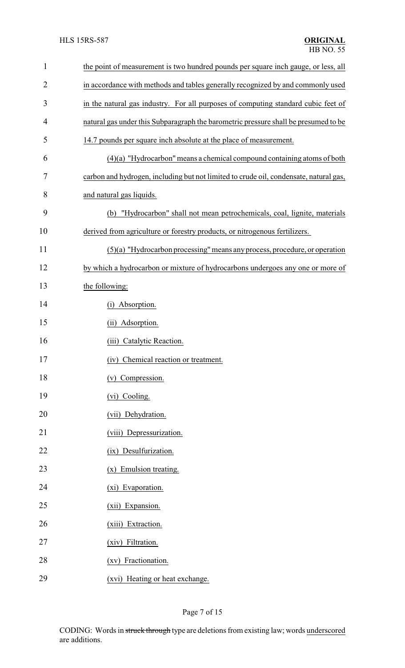| $\mathbf{1}$   | the point of measurement is two hundred pounds per square inch gauge, or less, all    |  |  |
|----------------|---------------------------------------------------------------------------------------|--|--|
| $\overline{2}$ | in accordance with methods and tables generally recognized by and commonly used       |  |  |
| 3              | in the natural gas industry. For all purposes of computing standard cubic feet of     |  |  |
| 4              | natural gas under this Subparagraph the barometric pressure shall be presumed to be   |  |  |
| 5              | 14.7 pounds per square inch absolute at the place of measurement.                     |  |  |
| 6              | $(4)(a)$ "Hydrocarbon" means a chemical compound containing atoms of both             |  |  |
| 7              | carbon and hydrogen, including but not limited to crude oil, condensate, natural gas, |  |  |
| 8              | and natural gas liquids.                                                              |  |  |
| 9              | (b) "Hydrocarbon" shall not mean petrochemicals, coal, lignite, materials             |  |  |
| 10             | derived from agriculture or forestry products, or nitrogenous fertilizers.            |  |  |
| 11             | (5)(a) "Hydrocarbon processing" means any process, procedure, or operation            |  |  |
| 12             | by which a hydrocarbon or mixture of hydrocarbons undergoes any one or more of        |  |  |
| 13             | the following:                                                                        |  |  |
| 14             | (i) Absorption.                                                                       |  |  |
| 15             | (ii) Adsorption.                                                                      |  |  |
| 16             | (iii) Catalytic Reaction.                                                             |  |  |
| 17             | Chemical reaction or treatment.<br>(1V)                                               |  |  |
| 18             | (v) Compression.                                                                      |  |  |
| 19             | (vi) Cooling.                                                                         |  |  |
| 20             | (vii) Dehydration.                                                                    |  |  |
| 21             | (viii) Depressurization.                                                              |  |  |
| 22             | (ix) Desulfurization.                                                                 |  |  |
| 23             | (x) Emulsion treating.                                                                |  |  |
| 24             | (xi) Evaporation.                                                                     |  |  |
| 25             | (xii) Expansion.                                                                      |  |  |
| 26             | (xiii) Extraction.                                                                    |  |  |
| 27             | (xiv) Filtration.                                                                     |  |  |
| 28             | (xv) Fractionation.                                                                   |  |  |
| 29             | (xvi) Heating or heat exchange.                                                       |  |  |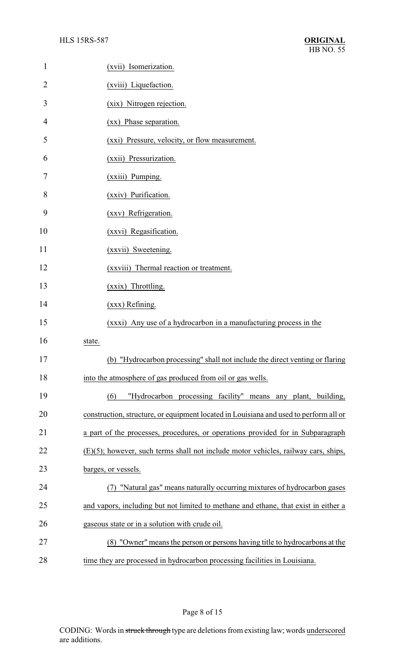| $\mathbf{1}$   | (xvii) Isomerization.                                                                 |
|----------------|---------------------------------------------------------------------------------------|
| $\overline{2}$ | (xviii) Liquefaction.                                                                 |
| 3              | (xix) Nitrogen rejection.                                                             |
| 4              | (xx) Phase separation.                                                                |
| 5              | (xxi) Pressure, velocity, or flow measurement.                                        |
| 6              | (xxii) Pressurization.                                                                |
| 7              | (xxiii) Pumping.                                                                      |
| 8              | (xxiv) Purification.                                                                  |
| 9              | (xxv) Refrigeration.                                                                  |
| 10             | (xxvi) Regasification.                                                                |
| 11             | (xxvii) Sweetening.                                                                   |
| 12             | (xxviii) Thermal reaction or treatment.                                               |
| 13             | (xxix) Throttling.                                                                    |
| 14             | (xxx) Refining.                                                                       |
| 15             | (xxxi) Any use of a hydrocarbon in a manufacturing process in the                     |
| 16             | state.                                                                                |
| 17             | "Hydrocarbon processing" shall not include the direct venting or flaring<br>(b)       |
| 18             | into the atmosphere of gas produced from oil or gas wells.                            |
| 19             | "Hydrocarbon processing facility" means any plant, building,<br>(6)                   |
| 20             | construction, structure, or equipment located in Louisiana and used to perform all or |
| 21             | a part of the processes, procedures, or operations provided for in Subparagraph       |
| 22             | (E)(5); however, such terms shall not include motor vehicles, railway cars, ships,    |
| 23             | barges, or vessels.                                                                   |
| 24             | "Natural gas" means naturally occurring mixtures of hydrocarbon gases                 |
| 25             | and vapors, including but not limited to methane and ethane, that exist in either a   |
| 26             | gaseous state or in a solution with crude oil.                                        |
| 27             | (8) "Owner" means the person or persons having title to hydrocarbons at the           |
| 28             | time they are processed in hydrocarbon processing facilities in Louisiana.            |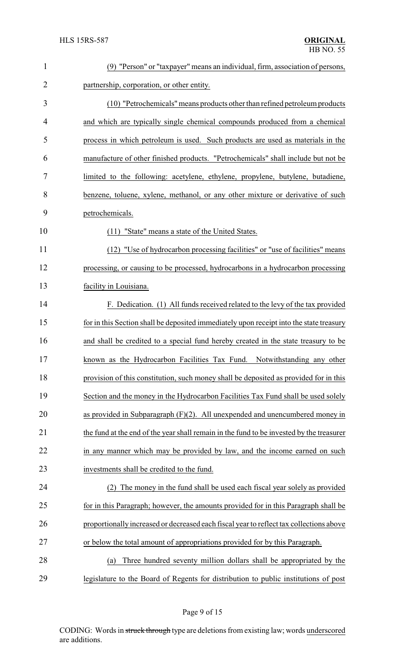| $\mathbf{1}$   | (9) "Person" or "taxpayer" means an individual, firm, association of persons,            |  |
|----------------|------------------------------------------------------------------------------------------|--|
| $\overline{2}$ | partnership, corporation, or other entity.                                               |  |
| 3              | (10) "Petrochemicals" means products other than refined petroleum products               |  |
| 4              | and which are typically single chemical compounds produced from a chemical               |  |
| 5              | process in which petroleum is used. Such products are used as materials in the           |  |
| 6              | manufacture of other finished products. "Petrochemicals" shall include but not be        |  |
| 7              | limited to the following: acetylene, ethylene, propylene, butylene, butadiene,           |  |
| 8              | benzene, toluene, xylene, methanol, or any other mixture or derivative of such           |  |
| 9              | petrochemicals.                                                                          |  |
| 10             | (11) "State" means a state of the United States.                                         |  |
| 11             | (12) "Use of hydrocarbon processing facilities" or "use of facilities" means             |  |
| 12             | processing, or causing to be processed, hydrocarbons in a hydrocarbon processing         |  |
| 13             | facility in Louisiana.                                                                   |  |
| 14             | F. Dedication. (1) All funds received related to the levy of the tax provided            |  |
| 15             | for in this Section shall be deposited immediately upon receipt into the state treasury  |  |
| 16             | and shall be credited to a special fund hereby created in the state treasury to be       |  |
| 17             | known as the Hydrocarbon Facilities Tax Fund. Notwithstanding any other                  |  |
| 18             | provision of this constitution, such money shall be deposited as provided for in this    |  |
| 19             | Section and the money in the Hydrocarbon Facilities Tax Fund shall be used solely        |  |
| 20             | as provided in Subparagraph $(F)(2)$ . All unexpended and unencumbered money in          |  |
| 21             | the fund at the end of the year shall remain in the fund to be invested by the treasurer |  |
| 22             | in any manner which may be provided by law, and the income earned on such                |  |
| 23             | investments shall be credited to the fund.                                               |  |
| 24             | The money in the fund shall be used each fiscal year solely as provided                  |  |
| 25             | for in this Paragraph; however, the amounts provided for in this Paragraph shall be      |  |
| 26             | proportionally increased or decreased each fiscal year to reflect tax collections above  |  |
| 27             | or below the total amount of appropriations provided for by this Paragraph.              |  |
| 28             | Three hundred seventy million dollars shall be appropriated by the<br>(a)                |  |
| 29             | legislature to the Board of Regents for distribution to public institutions of post      |  |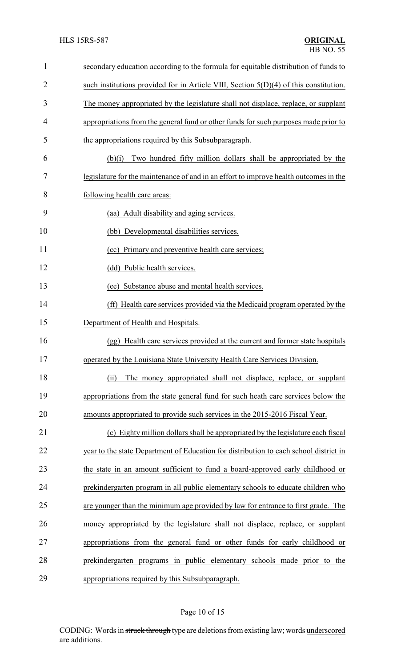| $\mathbf{1}$   | secondary education according to the formula for equitable distribution of funds to     |  |  |
|----------------|-----------------------------------------------------------------------------------------|--|--|
| $\overline{2}$ | such institutions provided for in Article VIII, Section $5(D)(4)$ of this constitution. |  |  |
| 3              | The money appropriated by the legislature shall not displace, replace, or supplant      |  |  |
| 4              | appropriations from the general fund or other funds for such purposes made prior to     |  |  |
| 5              | the appropriations required by this Subsubparagraph.                                    |  |  |
| 6              | Two hundred fifty million dollars shall be appropriated by the<br>(b)(i)                |  |  |
| 7              | legislature for the maintenance of and in an effort to improve health outcomes in the   |  |  |
| 8              | following health care areas:                                                            |  |  |
| 9              | (aa) Adult disability and aging services.                                               |  |  |
| 10             | (bb) Developmental disabilities services.                                               |  |  |
| 11             | (cc) Primary and preventive health care services;                                       |  |  |
| 12             | (dd) Public health services.                                                            |  |  |
| 13             | (ee) Substance abuse and mental health services.                                        |  |  |
| 14             | (ff) Health care services provided via the Medicaid program operated by the             |  |  |
| 15             | Department of Health and Hospitals.                                                     |  |  |
| 16             | (gg) Health care services provided at the current and former state hospitals            |  |  |
| 17             | operated by the Louisiana State University Health Care Services Division.               |  |  |
| 18             | The money appropriated shall not displace, replace, or supplant<br>(ii)                 |  |  |
| 19             | appropriations from the state general fund for such heath care services below the       |  |  |
| 20             | amounts appropriated to provide such services in the 2015-2016 Fiscal Year.             |  |  |
| 21             | (c) Eighty million dollars shall be appropriated by the legislature each fiscal         |  |  |
| 22             | year to the state Department of Education for distribution to each school district in   |  |  |
| 23             | the state in an amount sufficient to fund a board-approved early childhood or           |  |  |
| 24             | prekindergarten program in all public elementary schools to educate children who        |  |  |
| 25             | are younger than the minimum age provided by law for entrance to first grade. The       |  |  |
| 26             | money appropriated by the legislature shall not displace, replace, or supplant          |  |  |
| 27             | appropriations from the general fund or other funds for early childhood or              |  |  |
| 28             | prekindergarten programs in public elementary schools made prior to the                 |  |  |
| 29             | appropriations required by this Subsubparagraph.                                        |  |  |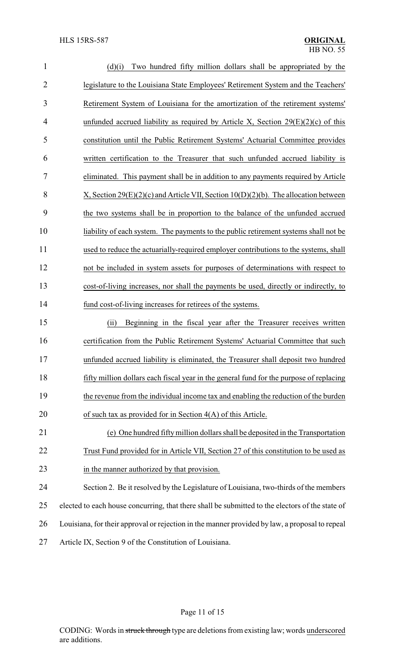| $\mathbf{1}$   | Two hundred fifty million dollars shall be appropriated by the<br>(d)(i)                        |
|----------------|-------------------------------------------------------------------------------------------------|
| $\overline{2}$ | legislature to the Louisiana State Employees' Retirement System and the Teachers'               |
| 3              | Retirement System of Louisiana for the amortization of the retirement systems'                  |
| 4              | unfunded accrued liability as required by Article X, Section $29(E)(2)(c)$ of this              |
| 5              | constitution until the Public Retirement Systems' Actuarial Committee provides                  |
| 6              | written certification to the Treasurer that such unfunded accrued liability is                  |
| 7              | eliminated. This payment shall be in addition to any payments required by Article               |
| 8              | X, Section 29 $(E)(2)(c)$ and Article VII, Section 10(D)(2)(b). The allocation between          |
| 9              | the two systems shall be in proportion to the balance of the unfunded accrued                   |
| 10             | liability of each system. The payments to the public retirement systems shall not be            |
| 11             | used to reduce the actuarially-required employer contributions to the systems, shall            |
| 12             | not be included in system assets for purposes of determinations with respect to                 |
| 13             | cost-of-living increases, nor shall the payments be used, directly or indirectly, to            |
| 14             | fund cost-of-living increases for retirees of the systems.                                      |
| 15             | Beginning in the fiscal year after the Treasurer receives written<br>(ii)                       |
| 16             | certification from the Public Retirement Systems' Actuarial Committee that such                 |
| 17             | unfunded accrued liability is eliminated, the Treasurer shall deposit two hundred               |
| 18             | fifty million dollars each fiscal year in the general fund for the purpose of replacing         |
| 19             | the revenue from the individual income tax and enabling the reduction of the burden             |
| 20             | of such tax as provided for in Section $4(A)$ of this Article.                                  |
| 21             | (e) One hundred fifty million dollars shall be deposited in the Transportation                  |
| 22             | Trust Fund provided for in Article VII, Section 27 of this constitution to be used as           |
| 23             | in the manner authorized by that provision.                                                     |
| 24             | Section 2. Be it resolved by the Legislature of Louisiana, two-thirds of the members            |
| 25             | elected to each house concurring, that there shall be submitted to the electors of the state of |
| 26             | Louisiana, for their approval or rejection in the manner provided by law, a proposal to repeal  |
| 27             | Article IX, Section 9 of the Constitution of Louisiana.                                         |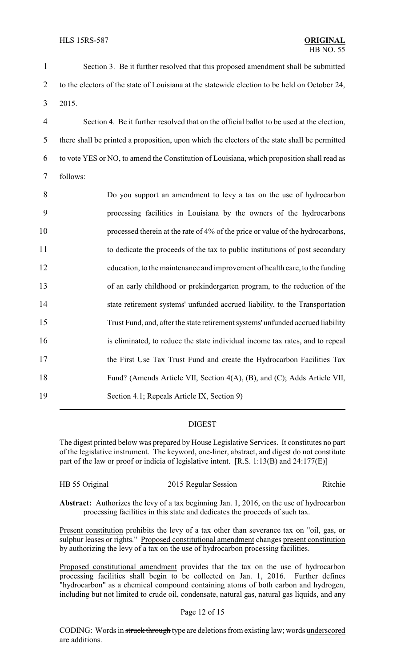Section 3. Be it further resolved that this proposed amendment shall be submitted 2 to the electors of the state of Louisiana at the statewide election to be held on October 24, 3 2015. Section 4. Be it further resolved that on the official ballot to be used at the election, there shall be printed a proposition, upon which the electors of the state shall be permitted to vote YES or NO, to amend the Constitution of Louisiana, which proposition shall read as 7 follows: Do you support an amendment to levy a tax on the use of hydrocarbon processing facilities in Louisiana by the owners of the hydrocarbons 10 processed therein at the rate of 4% of the price or value of the hydrocarbons, to dedicate the proceeds of the tax to public institutions of post secondary education, to the maintenance and improvement of health care, to the funding of an early childhood or prekindergarten program, to the reduction of the state retirement systems' unfunded accrued liability, to the Transportation Trust Fund, and, after the state retirement systems' unfunded accrued liability is eliminated, to reduce the state individual income tax rates, and to repeal 17 the First Use Tax Trust Fund and create the Hydrocarbon Facilities Tax Fund? (Amends Article VII, Section 4(A), (B), and (C); Adds Article VII, Section 4.1; Repeals Article IX, Section 9)

### DIGEST

The digest printed below was prepared by House Legislative Services. It constitutes no part of the legislative instrument. The keyword, one-liner, abstract, and digest do not constitute part of the law or proof or indicia of legislative intent. [R.S. 1:13(B) and 24:177(E)]

| HB 55 Original | 2015 Regular Session | Ritchie |
|----------------|----------------------|---------|
|                |                      |         |

**Abstract:** Authorizes the levy of a tax beginning Jan. 1, 2016, on the use of hydrocarbon processing facilities in this state and dedicates the proceeds of such tax.

Present constitution prohibits the levy of a tax other than severance tax on "oil, gas, or sulphur leases or rights." Proposed constitutional amendment changes present constitution by authorizing the levy of a tax on the use of hydrocarbon processing facilities.

Proposed constitutional amendment provides that the tax on the use of hydrocarbon processing facilities shall begin to be collected on Jan. 1, 2016. Further defines "hydrocarbon" as a chemical compound containing atoms of both carbon and hydrogen, including but not limited to crude oil, condensate, natural gas, natural gas liquids, and any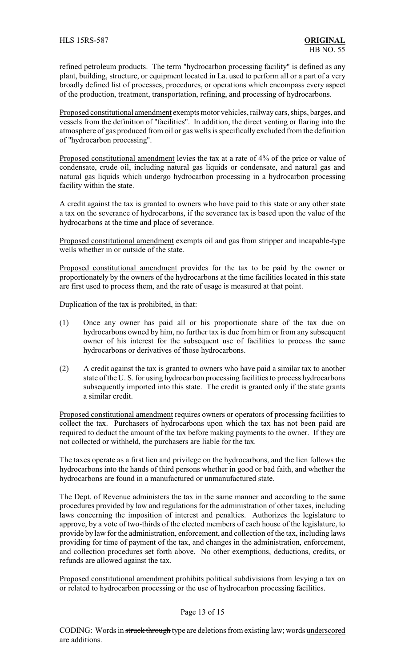refined petroleum products. The term "hydrocarbon processing facility" is defined as any plant, building, structure, or equipment located in La. used to perform all or a part of a very broadly defined list of processes, procedures, or operations which encompass every aspect of the production, treatment, transportation, refining, and processing of hydrocarbons.

Proposed constitutional amendment exempts motor vehicles, railwaycars, ships, barges, and vessels from the definition of "facilities". In addition, the direct venting or flaring into the atmosphere of gas produced from oil or gas wells is specifically excluded from the definition of "hydrocarbon processing".

Proposed constitutional amendment levies the tax at a rate of 4% of the price or value of condensate, crude oil, including natural gas liquids or condensate, and natural gas and natural gas liquids which undergo hydrocarbon processing in a hydrocarbon processing facility within the state.

A credit against the tax is granted to owners who have paid to this state or any other state a tax on the severance of hydrocarbons, if the severance tax is based upon the value of the hydrocarbons at the time and place of severance.

Proposed constitutional amendment exempts oil and gas from stripper and incapable-type wells whether in or outside of the state.

Proposed constitutional amendment provides for the tax to be paid by the owner or proportionately by the owners of the hydrocarbons at the time facilities located in this state are first used to process them, and the rate of usage is measured at that point.

Duplication of the tax is prohibited, in that:

- (1) Once any owner has paid all or his proportionate share of the tax due on hydrocarbons owned by him, no further tax is due from him or from any subsequent owner of his interest for the subsequent use of facilities to process the same hydrocarbons or derivatives of those hydrocarbons.
- (2) A credit against the tax is granted to owners who have paid a similar tax to another state of the U. S. for using hydrocarbon processing facilities to process hydrocarbons subsequently imported into this state. The credit is granted only if the state grants a similar credit.

Proposed constitutional amendment requires owners or operators of processing facilities to collect the tax. Purchasers of hydrocarbons upon which the tax has not been paid are required to deduct the amount of the tax before making payments to the owner. If they are not collected or withheld, the purchasers are liable for the tax.

The taxes operate as a first lien and privilege on the hydrocarbons, and the lien follows the hydrocarbons into the hands of third persons whether in good or bad faith, and whether the hydrocarbons are found in a manufactured or unmanufactured state.

The Dept. of Revenue administers the tax in the same manner and according to the same procedures provided by law and regulations for the administration of other taxes, including laws concerning the imposition of interest and penalties. Authorizes the legislature to approve, by a vote of two-thirds of the elected members of each house of the legislature, to provide by law for the administration, enforcement, and collection of the tax, including laws providing for time of payment of the tax, and changes in the administration, enforcement, and collection procedures set forth above. No other exemptions, deductions, credits, or refunds are allowed against the tax.

Proposed constitutional amendment prohibits political subdivisions from levying a tax on or related to hydrocarbon processing or the use of hydrocarbon processing facilities.

### Page 13 of 15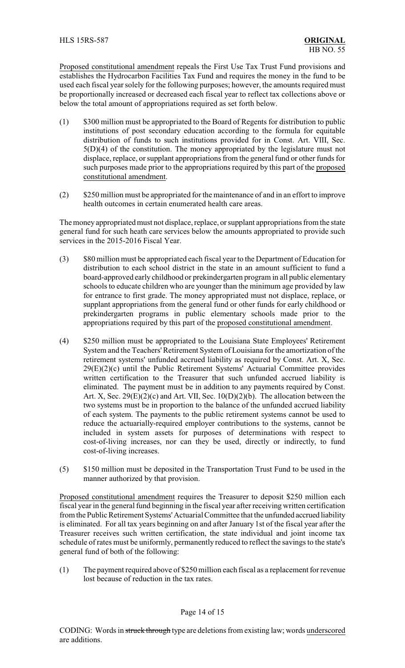Proposed constitutional amendment repeals the First Use Tax Trust Fund provisions and establishes the Hydrocarbon Facilities Tax Fund and requires the money in the fund to be used each fiscal year solely for the following purposes; however, the amounts required must be proportionally increased or decreased each fiscal year to reflect tax collections above or below the total amount of appropriations required as set forth below.

- (1) \$300 million must be appropriated to the Board of Regents for distribution to public institutions of post secondary education according to the formula for equitable distribution of funds to such institutions provided for in Const. Art. VIII, Sec. 5(D)(4) of the constitution. The money appropriated by the legislature must not displace, replace, or supplant appropriations from the general fund or other funds for such purposes made prior to the appropriations required by this part of the proposed constitutional amendment.
- (2) \$250 million must be appropriated for the maintenance of and in an effort to improve health outcomes in certain enumerated health care areas.

The money appropriated must not displace, replace, or supplant appropriations from the state general fund for such heath care services below the amounts appropriated to provide such services in the 2015-2016 Fiscal Year.

- (3) \$80 million must be appropriated each fiscal year to the Department of Education for distribution to each school district in the state in an amount sufficient to fund a board-approved early childhood or prekindergarten program in all public elementary schools to educate children who are younger than the minimum age provided by law for entrance to first grade. The money appropriated must not displace, replace, or supplant appropriations from the general fund or other funds for early childhood or prekindergarten programs in public elementary schools made prior to the appropriations required by this part of the proposed constitutional amendment.
- (4) \$250 million must be appropriated to the Louisiana State Employees' Retirement System and the Teachers'Retirement System of Louisiana for the amortization of the retirement systems' unfunded accrued liability as required by Const. Art. X, Sec. 29(E)(2)(c) until the Public Retirement Systems' Actuarial Committee provides written certification to the Treasurer that such unfunded accrued liability is eliminated. The payment must be in addition to any payments required by Const. Art. X, Sec. 29 $(E)(2)(c)$  and Art. VII, Sec. 10 $(D)(2)(b)$ . The allocation between the two systems must be in proportion to the balance of the unfunded accrued liability of each system. The payments to the public retirement systems cannot be used to reduce the actuarially-required employer contributions to the systems, cannot be included in system assets for purposes of determinations with respect to cost-of-living increases, nor can they be used, directly or indirectly, to fund cost-of-living increases.
- (5) \$150 million must be deposited in the Transportation Trust Fund to be used in the manner authorized by that provision.

Proposed constitutional amendment requires the Treasurer to deposit \$250 million each fiscal year in the general fund beginning in the fiscal year after receiving written certification from the Public Retirement Systems'Actuarial Committee that the unfunded accrued liability is eliminated. For all tax years beginning on and after January 1st of the fiscal year after the Treasurer receives such written certification, the state individual and joint income tax schedule of rates must be uniformly, permanently reduced to reflect the savings to the state's general fund of both of the following:

(1) The payment required above of \$250 million each fiscal as a replacement for revenue lost because of reduction in the tax rates.